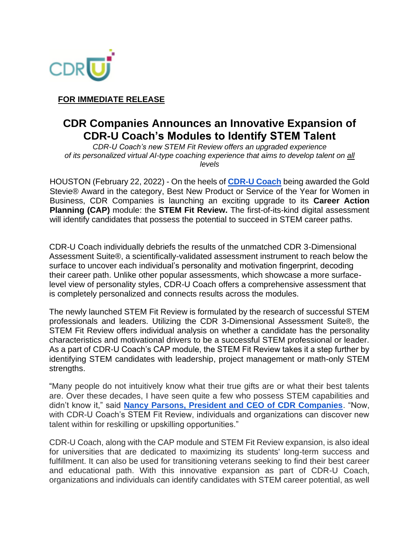

**FOR IMMEDIATE RELEASE**

## **CDR Companies Announces an Innovative Expansion of CDR-U Coach's Modules to Identify STEM Talent**

*CDR-U Coach's new STEM Fit Review offers an upgraded experience of its personalized virtual AI-type coaching experience that aims to develop talent on all levels*

HOUSTON (February 22, 2022) - On the heels of **[CDR-U Coach](https://www.cdr-u.com/coach)** being awarded the Gold Stevie® Award in the category, Best New Product or Service of the Year for Women in Business, CDR Companies is launching an exciting upgrade to its **Career Action Planning (CAP)** module: the **STEM Fit Review.** The first-of-its-kind digital assessment will identify candidates that possess the potential to succeed in STEM career paths.

CDR-U Coach individually debriefs the results of the unmatched CDR 3-Dimensional Assessment Suite®, a scientifically-validated assessment instrument to reach below the surface to uncover each individual's personality and motivation fingerprint, decoding their career path. Unlike other popular assessments, which showcase a more surfacelevel view of personality styles, CDR-U Coach offers a comprehensive assessment that is completely personalized and connects results across the modules.

The newly launched STEM Fit Review is formulated by the research of successful STEM professionals and leaders. Utilizing the CDR 3-Dimensional Assessment Suite®, the STEM Fit Review offers individual analysis on whether a candidate has the personality characteristics and motivational drivers to be a successful STEM professional or leader. As a part of CDR-U Coach's CAP module, the STEM Fit Review takes it a step further by identifying STEM candidates with leadership, project management or math-only STEM strengths.

"Many people do not intuitively know what their true gifts are or what their best talents are. Over these decades, I have seen quite a few who possess STEM capabilities and didn't know it," said **[Nancy Parsons, President and CEO of CDR Companies](https://www.cdrassessmentgroup.com/about-the-company/#leadership-team)**. "Now, with CDR-U Coach's STEM Fit Review, individuals and organizations can discover new talent within for reskilling or upskilling opportunities."

CDR-U Coach, along with the CAP module and STEM Fit Review expansion, is also ideal for universities that are dedicated to maximizing its students' long-term success and fulfillment. It can also be used for transitioning veterans seeking to find their best career and educational path. With this innovative expansion as part of CDR-U Coach, organizations and individuals can identify candidates with STEM career potential, as well